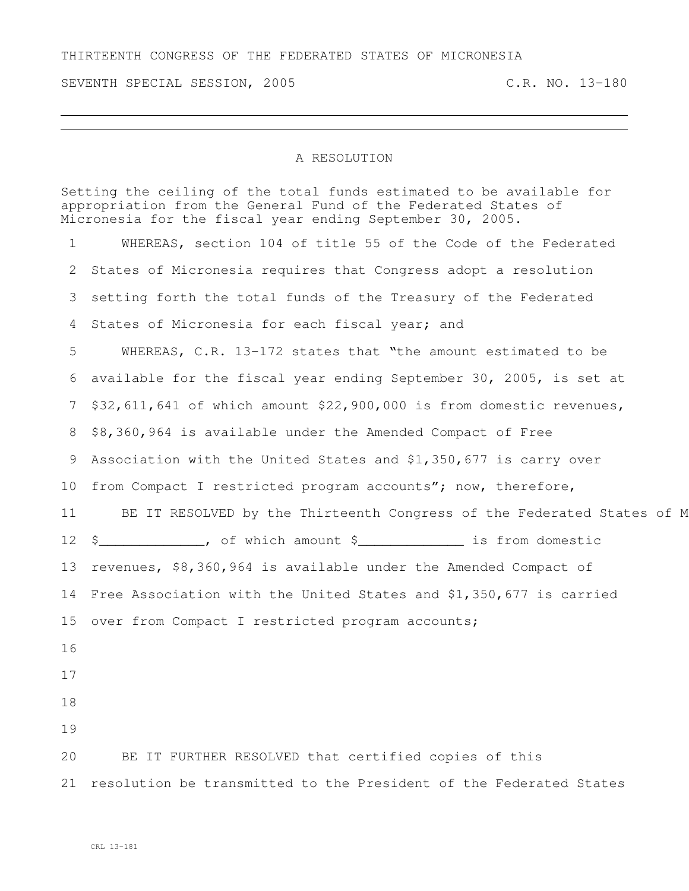## THIRTEENTH CONGRESS OF THE FEDERATED STATES OF MICRONESIA

SEVENTH SPECIAL SESSION, 2005 C.R. NO. 13-180

## A RESOLUTION

Setting the ceiling of the total funds estimated to be available for appropriation from the General Fund of the Federated States of Micronesia for the fiscal year ending September 30, 2005.

 WHEREAS, section 104 of title 55 of the Code of the Federated States of Micronesia requires that Congress adopt a resolution setting forth the total funds of the Treasury of the Federated States of Micronesia for each fiscal year; and WHEREAS, C.R. 13-172 states that "the amount estimated to be available for the fiscal year ending September 30, 2005, is set at \$32,611,641 of which amount \$22,900,000 is from domestic revenues, \$8,360,964 is available under the Amended Compact of Free Association with the United States and \$1,350,677 is carry over 10 from Compact I restricted program accounts"; now, therefore, 11 BE IT RESOLVED by the Thirteenth Congress of the Federated States of M \$\_\_\_\_\_\_\_\_\_\_\_\_\_, of which amount \$\_\_\_\_\_\_\_\_\_\_\_\_\_ is from domestic revenues, \$8,360,964 is available under the Amended Compact of Free Association with the United States and \$1,350,677 is carried 15 over from Compact I restricted program accounts; BE IT FURTHER RESOLVED that certified copies of this resolution be transmitted to the President of the Federated States